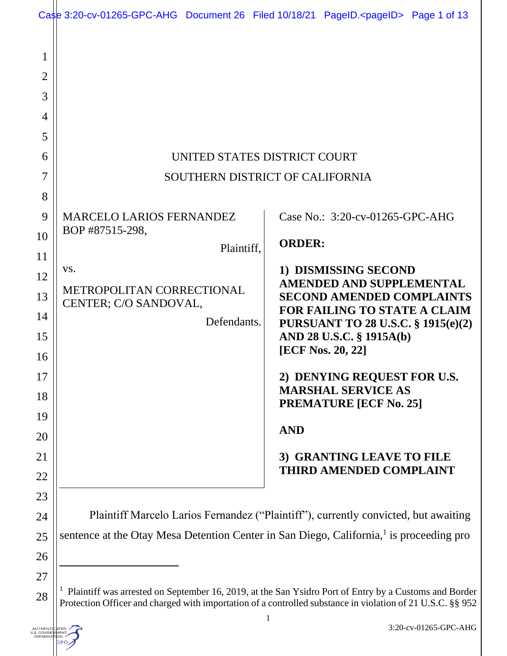|                                         | Case 3:20-cv-01265-GPC-AHG Document 26 Filed 10/18/21 PageID. <pageid> Page 1 of 13</pageid>                                                                                                                        |               |                                                                                  |  |
|-----------------------------------------|---------------------------------------------------------------------------------------------------------------------------------------------------------------------------------------------------------------------|---------------|----------------------------------------------------------------------------------|--|
| 1<br>$\overline{2}$<br>3<br>4<br>5<br>6 |                                                                                                                                                                                                                     |               |                                                                                  |  |
|                                         | UNITED STATES DISTRICT COURT<br>SOUTHERN DISTRICT OF CALIFORNIA                                                                                                                                                     |               |                                                                                  |  |
| 7                                       |                                                                                                                                                                                                                     |               |                                                                                  |  |
| 8<br>9                                  | <b>MARCELO LARIOS FERNANDEZ</b><br>BOP #87515-298,                                                                                                                                                                  |               | Case No.: 3:20-cv-01265-GPC-AHG                                                  |  |
| 10                                      | Plaintiff,                                                                                                                                                                                                          | <b>ORDER:</b> |                                                                                  |  |
| 11<br>12                                | VS.                                                                                                                                                                                                                 |               | 1) DISMISSING SECOND                                                             |  |
| 13                                      | METROPOLITAN CORRECTIONAL                                                                                                                                                                                           |               | <b>AMENDED AND SUPPLEMENTAL</b><br><b>SECOND AMENDED COMPLAINTS</b>              |  |
| 14<br>15                                | CENTER; C/O SANDOVAL,<br>Defendants.                                                                                                                                                                                |               | <b>FOR FAILING TO STATE A CLAIM</b><br><b>PURSUANT TO 28 U.S.C. § 1915(e)(2)</b> |  |
| 16                                      |                                                                                                                                                                                                                     |               | AND 28 U.S.C. § 1915A(b)<br>[ECF Nos. 20, 22]                                    |  |
| 17                                      |                                                                                                                                                                                                                     |               | 2) DENYING REQUEST FOR U.S.                                                      |  |
| 18                                      |                                                                                                                                                                                                                     |               | <b>MARSHAL SERVICE AS</b><br><b>PREMATURE [ECF No. 25]</b>                       |  |
| 19                                      |                                                                                                                                                                                                                     |               |                                                                                  |  |
| 20                                      |                                                                                                                                                                                                                     | <b>AND</b>    |                                                                                  |  |
| 21                                      |                                                                                                                                                                                                                     |               | 3) GRANTING LEAVE TO FILE<br><b>THIRD AMENDED COMPLAINT</b>                      |  |
| 22                                      |                                                                                                                                                                                                                     |               |                                                                                  |  |
| 23                                      |                                                                                                                                                                                                                     |               |                                                                                  |  |
| 24                                      | Plaintiff Marcelo Larios Fernandez ("Plaintiff"), currently convicted, but awaiting<br>sentence at the Otay Mesa Detention Center in San Diego, California, <sup>1</sup> is proceeding pro                          |               |                                                                                  |  |
| 25<br>26                                |                                                                                                                                                                                                                     |               |                                                                                  |  |
| 27                                      |                                                                                                                                                                                                                     |               |                                                                                  |  |
| 28                                      | Plaintiff was arrested on September 16, 2019, at the San Ysidro Port of Entry by a Customs and Border<br>Protection Officer and charged with importation of a controlled substance in violation of 21 U.S.C. §§ 952 |               |                                                                                  |  |

AUTHEN<br>U.S. GOVE<br>INFORM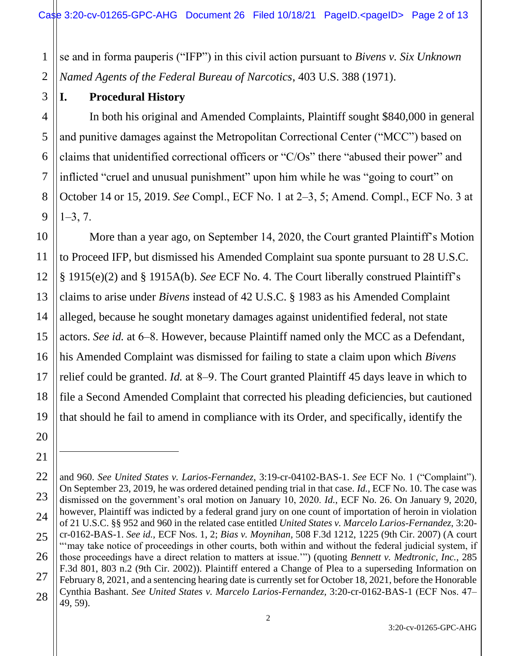1 2 se and in forma pauperis ("IFP") in this civil action pursuant to *Bivens v. Six Unknown Named Agents of the Federal Bureau of Narcotics*, 403 U.S. 388 (1971).

11

12

13

14

15

17

18

19

20

21

#### **I. Procedural History**

9 In both his original and Amended Complaints, Plaintiff sought \$840,000 in general and punitive damages against the Metropolitan Correctional Center ("MCC") based on claims that unidentified correctional officers or "C/Os" there "abused their power" and inflicted "cruel and unusual punishment" upon him while he was "going to court" on October 14 or 15, 2019. *See* Compl., ECF No. 1 at 2‒3, 5; Amend. Compl., ECF No. 3 at  $1 - 3, 7.$ 

10 16 More than a year ago, on September 14, 2020, the Court granted Plaintiff's Motion to Proceed IFP, but dismissed his Amended Complaint sua sponte pursuant to 28 U.S.C. § 1915(e)(2) and § 1915A(b). *See* ECF No. 4. The Court liberally construed Plaintiff's claims to arise under *Bivens* instead of 42 U.S.C. § 1983 as his Amended Complaint alleged, because he sought monetary damages against unidentified federal, not state actors. *See id.* at 6–8. However, because Plaintiff named only the MCC as a Defendant, his Amended Complaint was dismissed for failing to state a claim upon which *Bivens* relief could be granted. *Id.* at 8–9. The Court granted Plaintiff 45 days leave in which to file a Second Amended Complaint that corrected his pleading deficiencies, but cautioned that should he fail to amend in compliance with its Order, and specifically, identify the

<sup>22</sup> 23 24 25 26 27 28 and 960. *See United States v. Larios-Fernandez*, 3:19-cr-04102-BAS-1. *See* ECF No. 1 ("Complaint"). On September 23, 2019, he was ordered detained pending trial in that case. *Id.*, ECF No. 10. The case was dismissed on the government's oral motion on January 10, 2020. *Id.*, ECF No. 26. On January 9, 2020, however, Plaintiff was indicted by a federal grand jury on one count of importation of heroin in violation of 21 U.S.C. §§ 952 and 960 in the related case entitled *United States v. Marcelo Larios-Fernandez*, 3:20 cr-0162-BAS-1. *See id.,* ECF Nos. 1, 2; *Bias v. Moynihan,* 508 F.3d 1212, 1225 (9th Cir. 2007) (A court "'may take notice of proceedings in other courts, both within and without the federal judicial system, if those proceedings have a direct relation to matters at issue.'") (quoting *Bennett v. Medtronic, Inc.*, 285 F.3d 801, 803 n.2 (9th Cir. 2002)). Plaintiff entered a Change of Plea to a superseding Information on February 8, 2021, and a sentencing hearing date is currently set for October 18, 2021, before the Honorable Cynthia Bashant. *See United States v. Marcelo Larios-Fernandez,* 3:20-cr-0162-BAS-1 (ECF Nos. 47‒ 49, 59).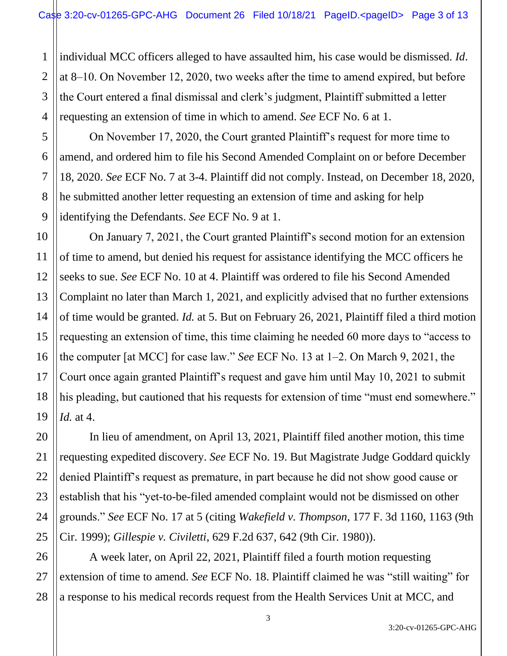1 2 3 4 individual MCC officers alleged to have assaulted him, his case would be dismissed. *Id*. at 8‒10. On November 12, 2020, two weeks after the time to amend expired, but before the Court entered a final dismissal and clerk's judgment, Plaintiff submitted a letter requesting an extension of time in which to amend. *See* ECF No. 6 at 1.

5

7

8

9

11

17

20

21

22

23

24

25

27

6 On November 17, 2020, the Court granted Plaintiff's request for more time to amend, and ordered him to file his Second Amended Complaint on or before December 18, 2020. *See* ECF No. 7 at 3-4. Plaintiff did not comply. Instead, on December 18, 2020, he submitted another letter requesting an extension of time and asking for help identifying the Defendants. *See* ECF No. 9 at 1.

10 12 13 14 15 16 18 19 On January 7, 2021, the Court granted Plaintiff's second motion for an extension of time to amend, but denied his request for assistance identifying the MCC officers he seeks to sue. *See* ECF No. 10 at 4. Plaintiff was ordered to file his Second Amended Complaint no later than March 1, 2021, and explicitly advised that no further extensions of time would be granted. *Id.* at 5. But on February 26, 2021, Plaintiff filed a third motion requesting an extension of time, this time claiming he needed 60 more days to "access to the computer [at MCC] for case law." *See* ECF No. 13 at 1‒2. On March 9, 2021, the Court once again granted Plaintiff's request and gave him until May 10, 2021 to submit his pleading, but cautioned that his requests for extension of time "must end somewhere." *Id.* at 4.

In lieu of amendment, on April 13, 2021, Plaintiff filed another motion, this time requesting expedited discovery. *See* ECF No. 19. But Magistrate Judge Goddard quickly denied Plaintiff's request as premature, in part because he did not show good cause or establish that his "yet-to-be-filed amended complaint would not be dismissed on other grounds." *See* ECF No. 17 at 5 (citing *Wakefield v. Thompson*, 177 F. 3d 1160, 1163 (9th Cir. 1999); *Gillespie v. Civiletti*, 629 F.2d 637, 642 (9th Cir. 1980)).

26 28 A week later, on April 22, 2021, Plaintiff filed a fourth motion requesting extension of time to amend. *See* ECF No. 18. Plaintiff claimed he was "still waiting" for a response to his medical records request from the Health Services Unit at MCC, and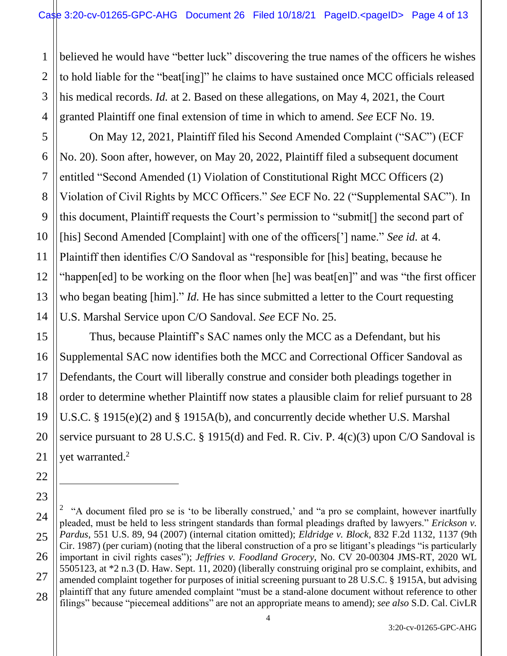1 2 3 believed he would have "better luck" discovering the true names of the officers he wishes to hold liable for the "beat[ing]" he claims to have sustained once MCC officials released his medical records. *Id.* at 2. Based on these allegations, on May 4, 2021, the Court granted Plaintiff one final extension of time in which to amend. *See* ECF No. 19.

On May 12, 2021, Plaintiff filed his Second Amended Complaint ("SAC") (ECF No. 20). Soon after, however, on May 20, 2022, Plaintiff filed a subsequent document entitled "Second Amended (1) Violation of Constitutional Right MCC Officers (2) Violation of Civil Rights by MCC Officers." *See* ECF No. 22 ("Supplemental SAC"). In this document, Plaintiff requests the Court's permission to "submit[] the second part of [his] Second Amended [Complaint] with one of the officers['] name." *See id.* at 4. Plaintiff then identifies C/O Sandoval as "responsible for [his] beating, because he "happen[ed] to be working on the floor when [he] was beat[en]" and was "the first officer who began beating [him]." *Id*. He has since submitted a letter to the Court requesting U.S. Marshal Service upon C/O Sandoval. *See* ECF No. 25.

Thus, because Plaintiff's SAC names only the MCC as a Defendant, but his Supplemental SAC now identifies both the MCC and Correctional Officer Sandoval as Defendants, the Court will liberally construe and consider both pleadings together in order to determine whether Plaintiff now states a plausible claim for relief pursuant to 28 U.S.C. § 1915(e)(2) and § 1915A(b), and concurrently decide whether U.S. Marshal service pursuant to 28 U.S.C. § 1915(d) and Fed. R. Civ. P. 4(c)(3) upon C/O Sandoval is yet warranted.<sup>2</sup>

<sup>&</sup>lt;sup>2</sup> "A document filed pro se is 'to be liberally construed,' and "a pro se complaint, however inartfully pleaded, must be held to less stringent standards than formal pleadings drafted by lawyers." *Erickson v. Pardus*, 551 U.S. 89, 94 (2007) (internal citation omitted); *Eldridge v. Block*, 832 F.2d 1132, 1137 (9th Cir. 1987) (per curiam) (noting that the liberal construction of a pro se litigant's pleadings "is particularly important in civil rights cases"); *Jeffries v. Foodland Grocery*, No. CV 20-00304 JMS-RT, 2020 WL 5505123, at \*2 n.3 (D. Haw. Sept. 11, 2020) (liberally construing original pro se complaint, exhibits, and amended complaint together for purposes of initial screening pursuant to 28 U.S.C. § 1915A, but advising plaintiff that any future amended complaint "must be a stand-alone document without reference to other filings" because "piecemeal additions" are not an appropriate means to amend); *see also* S.D. Cal. CivLR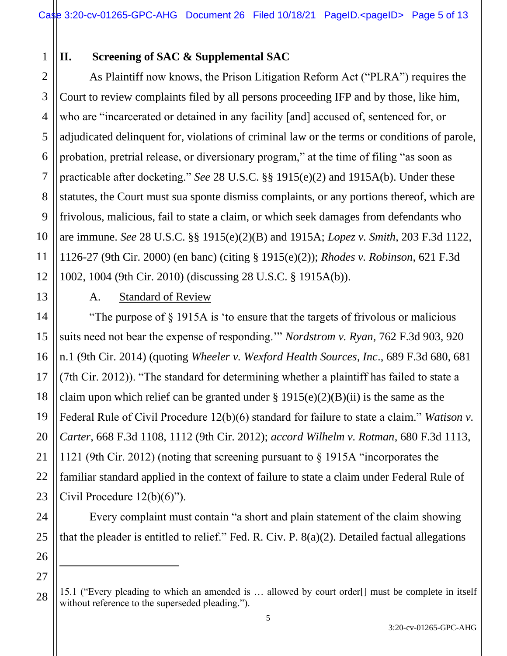# 1 2

## **II. Screening of SAC & Supplemental SAC**

As Plaintiff now knows, the Prison Litigation Reform Act ("PLRA") requires the Court to review complaints filed by all persons proceeding IFP and by those, like him, who are "incarcerated or detained in any facility [and] accused of, sentenced for, or adjudicated delinquent for, violations of criminal law or the terms or conditions of parole, probation, pretrial release, or diversionary program," at the time of filing "as soon as practicable after docketing." *See* 28 U.S.C. §§ 1915(e)(2) and 1915A(b). Under these statutes, the Court must sua sponte dismiss complaints, or any portions thereof, which are frivolous, malicious, fail to state a claim, or which seek damages from defendants who are immune. *See* 28 U.S.C. §§ 1915(e)(2)(B) and 1915A; *Lopez v. Smith*, 203 F.3d 1122, 1126-27 (9th Cir. 2000) (en banc) (citing § 1915(e)(2)); *Rhodes v. Robinson*, 621 F.3d 1002, 1004 (9th Cir. 2010) (discussing 28 U.S.C. § 1915A(b)).

## A. Standard of Review

"The purpose of § 1915A is 'to ensure that the targets of frivolous or malicious suits need not bear the expense of responding.'" *Nordstrom v. Ryan*, 762 F.3d 903, 920 n.1 (9th Cir. 2014) (quoting *Wheeler v. Wexford Health Sources, Inc*., 689 F.3d 680, 681 (7th Cir. 2012)). "The standard for determining whether a plaintiff has failed to state a claim upon which relief can be granted under  $\S 1915(e)(2)(B)(ii)$  is the same as the Federal Rule of Civil Procedure 12(b)(6) standard for failure to state a claim." *Watison v. Carter*, 668 F.3d 1108, 1112 (9th Cir. 2012); *accord Wilhelm v. Rotman*, 680 F.3d 1113, 1121 (9th Cir. 2012) (noting that screening pursuant to § 1915A "incorporates the familiar standard applied in the context of failure to state a claim under Federal Rule of Civil Procedure 12(b)(6)").

Every complaint must contain "a short and plain statement of the claim showing that the pleader is entitled to relief." Fed. R. Civ. P. 8(a)(2). Detailed factual allegations

<sup>15.1 (&</sup>quot;Every pleading to which an amended is … allowed by court order[] must be complete in itself without reference to the superseded pleading.").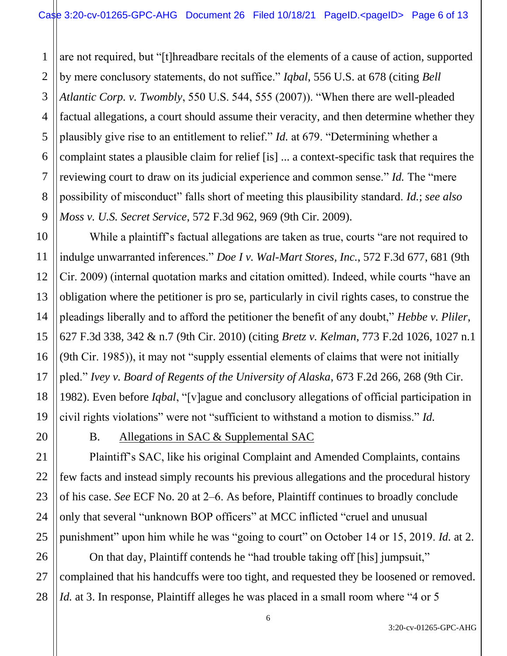1 2 3 4 5 6 7 8 9 are not required, but "[t]hreadbare recitals of the elements of a cause of action, supported by mere conclusory statements, do not suffice." *Iqbal*, 556 U.S. at 678 (citing *Bell Atlantic Corp. v. Twombly*, 550 U.S. 544, 555 (2007)). "When there are well-pleaded factual allegations, a court should assume their veracity, and then determine whether they plausibly give rise to an entitlement to relief." *Id.* at 679. "Determining whether a complaint states a plausible claim for relief [is] ... a context-specific task that requires the reviewing court to draw on its judicial experience and common sense." *Id.* The "mere possibility of misconduct" falls short of meeting this plausibility standard. *Id.*; *see also Moss v. U.S. Secret Service*, 572 F.3d 962, 969 (9th Cir. 2009).

While a plaintiff's factual allegations are taken as true, courts "are not required to indulge unwarranted inferences." *Doe I v. Wal-Mart Stores, Inc.*, 572 F.3d 677, 681 (9th Cir. 2009) (internal quotation marks and citation omitted). Indeed, while courts "have an obligation where the petitioner is pro se, particularly in civil rights cases, to construe the pleadings liberally and to afford the petitioner the benefit of any doubt," *Hebbe v. Pliler*, 627 F.3d 338, 342 & n.7 (9th Cir. 2010) (citing *Bretz v. Kelman*, 773 F.2d 1026, 1027 n.1 (9th Cir. 1985)), it may not "supply essential elements of claims that were not initially pled." *Ivey v. Board of Regents of the University of Alaska*, 673 F.2d 266, 268 (9th Cir. 1982). Even before *Iqbal*, "[v]ague and conclusory allegations of official participation in civil rights violations" were not "sufficient to withstand a motion to dismiss." *Id.*

10

11

12

13

14

15

16

17

18

19

20

21

22

23

24

25

B. Allegations in SAC & Supplemental SAC

Plaintiff's SAC, like his original Complaint and Amended Complaints, contains few facts and instead simply recounts his previous allegations and the procedural history of his case. *See* ECF No. 20 at 2‒6. As before, Plaintiff continues to broadly conclude only that several "unknown BOP officers" at MCC inflicted "cruel and unusual punishment" upon him while he was "going to court" on October 14 or 15, 2019. *Id.* at 2.

26 27 28 On that day, Plaintiff contends he "had trouble taking off [his] jumpsuit," complained that his handcuffs were too tight, and requested they be loosened or removed. *Id.* at 3. In response, Plaintiff alleges he was placed in a small room where "4 or 5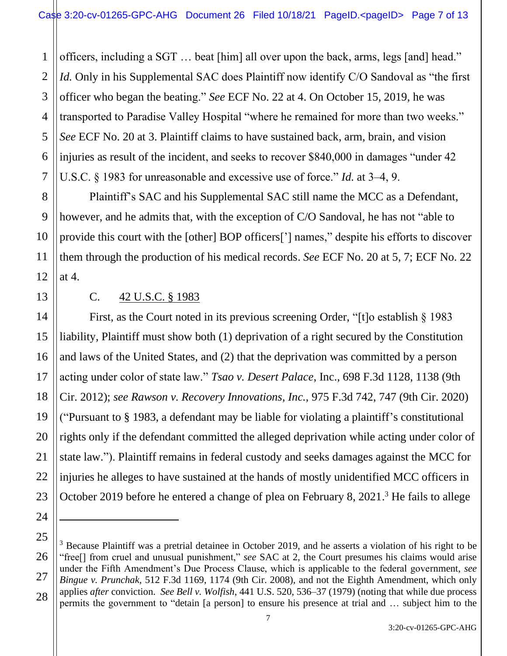1 2 3 4 5 6 7 officers, including a SGT … beat [him] all over upon the back, arms, legs [and] head." *Id.* Only in his Supplemental SAC does Plaintiff now identify C/O Sandoval as "the first officer who began the beating." *See* ECF No. 22 at 4. On October 15, 2019, he was transported to Paradise Valley Hospital "where he remained for more than two weeks." *See* ECF No. 20 at 3. Plaintiff claims to have sustained back, arm, brain, and vision injuries as result of the incident, and seeks to recover \$840,000 in damages "under 42 U.S.C. § 1983 for unreasonable and excessive use of force." *Id.* at 3–4, 9.

Plaintiff's SAC and his Supplemental SAC still name the MCC as a Defendant, however, and he admits that, with the exception of C/O Sandoval, he has not "able to provide this court with the [other] BOP officers['] names," despite his efforts to discover them through the production of his medical records. *See* ECF No. 20 at 5, 7; ECF No. 22 at 4.

23

24

8

9

10

#### C. 42 U.S.C. § 1983

First, as the Court noted in its previous screening Order, "[t]o establish § 1983 liability, Plaintiff must show both (1) deprivation of a right secured by the Constitution and laws of the United States, and (2) that the deprivation was committed by a person acting under color of state law." *Tsao v. Desert Palace*, Inc., 698 F.3d 1128, 1138 (9th Cir. 2012); *see Rawson v. Recovery Innovations, Inc.,* 975 F.3d 742, 747 (9th Cir. 2020) ("Pursuant to § 1983, a defendant may be liable for violating a plaintiff's constitutional rights only if the defendant committed the alleged deprivation while acting under color of state law."). Plaintiff remains in federal custody and seeks damages against the MCC for injuries he alleges to have sustained at the hands of mostly unidentified MCC officers in October 2019 before he entered a change of plea on February 8, 2021.<sup>3</sup> He fails to allege

<sup>25</sup> 26 27 28 <sup>3</sup> Because Plaintiff was a pretrial detainee in October 2019, and he asserts a violation of his right to be "free[] from cruel and unusual punishment," *see* SAC at 2, the Court presumes his claims would arise under the Fifth Amendment's Due Process Clause, which is applicable to the federal government, *see Bingue v. Prunchak,* 512 F.3d 1169, 1174 (9th Cir. 2008), and not the Eighth Amendment, which only applies *after* conviction. *See Bell v. Wolfish*, 441 U.S. 520, 536–37 (1979) (noting that while due process permits the government to "detain [a person] to ensure his presence at trial and … subject him to the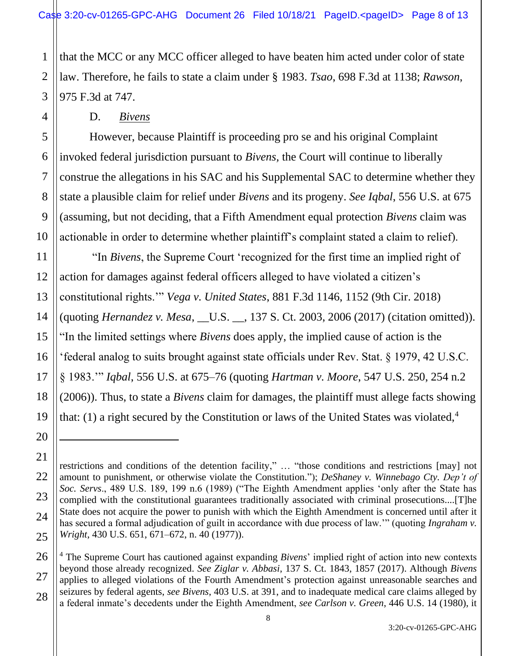that the MCC or any MCC officer alleged to have beaten him acted under color of state law. Therefore, he fails to state a claim under § 1983. *Tsao*, 698 F.3d at 1138; *Rawson*, 975 F.3d at 747.

D. *Bivens*

However, because Plaintiff is proceeding pro se and his original Complaint invoked federal jurisdiction pursuant to *Bivens,* the Court will continue to liberally construe the allegations in his SAC and his Supplemental SAC to determine whether they state a plausible claim for relief under *Bivens* and its progeny. *See Iqbal*, 556 U.S. at 675 (assuming, but not deciding, that a Fifth Amendment equal protection *Bivens* claim was actionable in order to determine whether plaintiff's complaint stated a claim to relief).

"In *Bivens*, the Supreme Court 'recognized for the first time an implied right of action for damages against federal officers alleged to have violated a citizen's constitutional rights.'" *Vega v. United States*, 881 F.3d 1146, 1152 (9th Cir. 2018) (quoting *Hernandez v. Mesa*, \_\_U.S. \_\_, 137 S. Ct. 2003, 2006 (2017) (citation omitted)). "In the limited settings where *Bivens* does apply, the implied cause of action is the 'federal analog to suits brought against state officials under Rev. Stat. § 1979, 42 U.S.C. § 1983.'" *Iqbal*, 556 U.S. at 675‒76 (quoting *Hartman v. Moore*, 547 U.S. 250, 254 n.2 (2006)). Thus, to state a *Bivens* claim for damages, the plaintiff must allege facts showing that: (1) a right secured by the Constitution or laws of the United States was violated,  $4\overline{ }$ 

1

2

restrictions and conditions of the detention facility," … "those conditions and restrictions [may] not amount to punishment, or otherwise violate the Constitution."); *DeShaney v. Winnebago Cty. Dep't of Soc. Servs*., 489 U.S. 189, 199 n.6 (1989) ("The Eighth Amendment applies 'only after the State has complied with the constitutional guarantees traditionally associated with criminal prosecutions....[T]he State does not acquire the power to punish with which the Eighth Amendment is concerned until after it has secured a formal adjudication of guilt in accordance with due process of law.'" (quoting *Ingraham v. Wright*, 430 U.S. 651, 671–672, n. 40 (1977)).

<sup>4</sup> The Supreme Court has cautioned against expanding *Bivens*' implied right of action into new contexts beyond those already recognized. *See Ziglar v. Abbasi*, 137 S. Ct. 1843, 1857 (2017). Although *Bivens*  applies to alleged violations of the Fourth Amendment's protection against unreasonable searches and seizures by federal agents, *see Bivens*, 403 U.S. at 391, and to inadequate medical care claims alleged by a federal inmate's decedents under the Eighth Amendment, *see Carlson v. Green*, 446 U.S. 14 (1980), it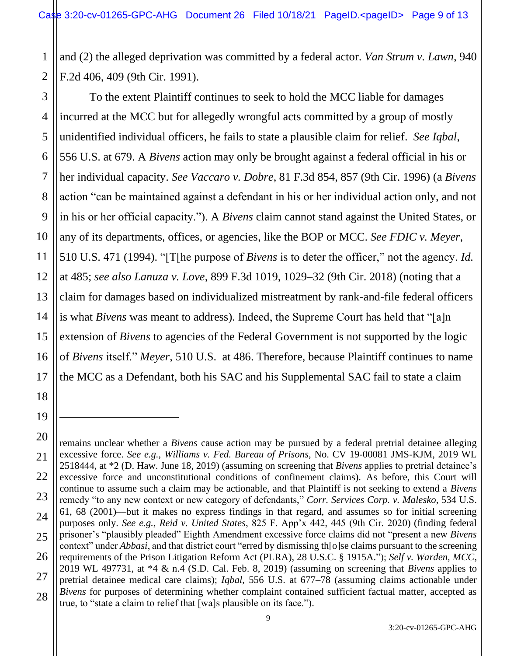1 2 and (2) the alleged deprivation was committed by a federal actor. *Van Strum v. Lawn*, 940 F.2d 406, 409 (9th Cir. 1991).

To the extent Plaintiff continues to seek to hold the MCC liable for damages incurred at the MCC but for allegedly wrongful acts committed by a group of mostly unidentified individual officers, he fails to state a plausible claim for relief. *See Iqbal*, 556 U.S. at 679. A *Bivens* action may only be brought against a federal official in his or her individual capacity. *See Vaccaro v. Dobre*, 81 F.3d 854, 857 (9th Cir. 1996) (a *Bivens* action "can be maintained against a defendant in his or her individual action only, and not in his or her official capacity."). A *Bivens* claim cannot stand against the United States, or any of its departments, offices, or agencies, like the BOP or MCC. *See FDIC v. Meyer*, 510 U.S. 471 (1994). "[T[he purpose of *Bivens* is to deter the officer," not the agency. *Id.* at 485; *see also Lanuza v. Love*, 899 F.3d 1019, 1029–32 (9th Cir. 2018) (noting that a claim for damages based on individualized mistreatment by rank-and-file federal officers is what *Bivens* was meant to address). Indeed, the Supreme Court has held that "[a]n extension of *Bivens* to agencies of the Federal Government is not supported by the logic of *Bivens* itself." *Meyer*, 510 U.S. at 486. Therefore, because Plaintiff continues to name the MCC as a Defendant, both his SAC and his Supplemental SAC fail to state a claim

<sup>3</sup> 4 5 6 7 8 9 10 11 12 13 14 15 16 17 18 19 20 21 22 23 24 25 26 27 28

remains unclear whether a *Bivens* cause action may be pursued by a federal pretrial detainee alleging excessive force. *See e.g., Williams v. Fed. Bureau of Prisons,* No. CV 19-00081 JMS-KJM, 2019 WL 2518444, at \*2 (D. Haw. June 18, 2019) (assuming on screening that *Bivens* applies to pretrial detainee's excessive force and unconstitutional conditions of confinement claims). As before, this Court will continue to assume such a claim may be actionable, and that Plaintiff is not seeking to extend a *Bivens* remedy "to any new context or new category of defendants," *Corr. Services Corp. v. Malesko*, 534 U.S. 61, 68 (2001)‒‒but it makes no express findings in that regard, and assumes so for initial screening purposes only. *See e.g., Reid v. United States*, 825 F. App'x 442, 445 (9th Cir. 2020) (finding federal prisoner's "plausibly pleaded" Eighth Amendment excessive force claims did not "present a new *Bivens*  context" under *Abbasi*, and that district court "erred by dismissing th[o]se claims pursuant to the screening requirements of the Prison Litigation Reform Act (PLRA), 28 U.S.C. § 1915A."); *Self v. Warden, MCC*, 2019 WL 497731, at \*4 & n.4 (S.D. Cal. Feb. 8, 2019) (assuming on screening that *Bivens* applies to pretrial detainee medical care claims); *Igbal*, 556 U.S. at 677–78 (assuming claims actionable under *Bivens* for purposes of determining whether complaint contained sufficient factual matter, accepted as true, to "state a claim to relief that [wa]s plausible on its face.").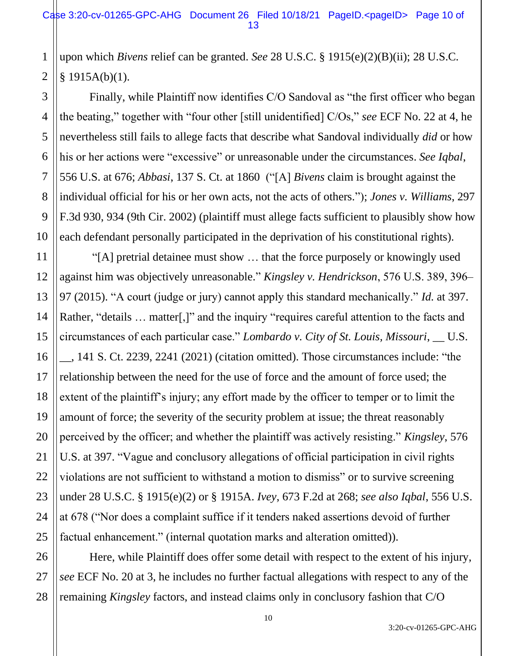1 2 upon which *Bivens* relief can be granted. *See* 28 U.S.C. § 1915(e)(2)(B)(ii); 28 U.S.C.  $§ 1915A(b)(1).$ 

Finally, while Plaintiff now identifies C/O Sandoval as "the first officer who began the beating," together with "four other [still unidentified] C/Os," *see* ECF No. 22 at 4, he nevertheless still fails to allege facts that describe what Sandoval individually *did* or how his or her actions were "excessive" or unreasonable under the circumstances. *See Iqbal*, 556 U.S. at 676; *Abbasi*, 137 S. Ct. at 1860 ("[A] *Bivens* claim is brought against the individual official for his or her own acts, not the acts of others."); *Jones v. Williams*, 297 F.3d 930, 934 (9th Cir. 2002) (plaintiff must allege facts sufficient to plausibly show how each defendant personally participated in the deprivation of his constitutional rights).

"[A] pretrial detainee must show … that the force purposely or knowingly used against him was objectively unreasonable." *Kingsley v. Hendrickson*, 576 U.S. 389, 396– 97 (2015). "A court (judge or jury) cannot apply this standard mechanically." *Id.* at 397. Rather, "details ... matter[,]" and the inquiry "requires careful attention to the facts and circumstances of each particular case." *Lombardo v. City of St. Louis, Missouri*, \_\_ U.S. \_\_, 141 S. Ct. 2239, 2241 (2021) (citation omitted). Those circumstances include: "the relationship between the need for the use of force and the amount of force used; the extent of the plaintiff's injury; any effort made by the officer to temper or to limit the amount of force; the severity of the security problem at issue; the threat reasonably perceived by the officer; and whether the plaintiff was actively resisting." *Kingsley*, 576 U.S. at 397. "Vague and conclusory allegations of official participation in civil rights violations are not sufficient to withstand a motion to dismiss" or to survive screening under 28 U.S.C. § 1915(e)(2) or § 1915A. *Ivey*, 673 F.2d at 268; *see also Iqbal*, 556 U.S. at 678 ("Nor does a complaint suffice if it tenders naked assertions devoid of further factual enhancement." (internal quotation marks and alteration omitted)).

Here, while Plaintiff does offer some detail with respect to the extent of his injury, *see* ECF No. 20 at 3, he includes no further factual allegations with respect to any of the remaining *Kingsley* factors, and instead claims only in conclusory fashion that C/O

3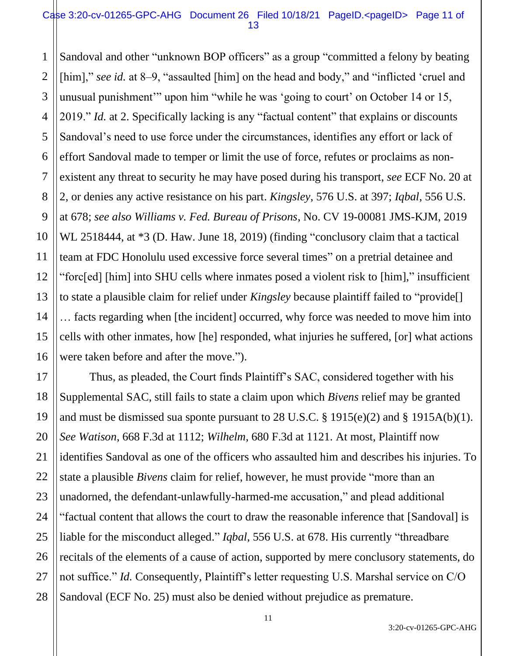#### Case 3:20-cv-01265-GPC-AHG Document 26 Filed 10/18/21 PageID.<pageID> Page 11 of 13

1 2 3 4 5 6 7 8 9 10 11 12 13 14 15 16 Sandoval and other "unknown BOP officers" as a group "committed a felony by beating [him]," *see id.* at 8–9, "assaulted [him] on the head and body," and "inflicted 'cruel and unusual punishment'" upon him "while he was 'going to court' on October 14 or 15, 2019." *Id.* at 2. Specifically lacking is any "factual content" that explains or discounts Sandoval's need to use force under the circumstances, identifies any effort or lack of effort Sandoval made to temper or limit the use of force, refutes or proclaims as nonexistent any threat to security he may have posed during his transport, *see* ECF No. 20 at 2, or denies any active resistance on his part. *Kingsley*, 576 U.S. at 397; *Iqbal*, 556 U.S. at 678; *see also Williams v. Fed. Bureau of Prisons*, No. CV 19-00081 JMS-KJM, 2019 WL 2518444, at  $*3$  (D. Haw. June 18, 2019) (finding "conclusory claim that a tactical team at FDC Honolulu used excessive force several times" on a pretrial detainee and "forc[ed] [him] into SHU cells where inmates posed a violent risk to [him]," insufficient to state a plausible claim for relief under *Kingsley* because plaintiff failed to "provide[] … facts regarding when [the incident] occurred, why force was needed to move him into cells with other inmates, how [he] responded, what injuries he suffered, [or] what actions were taken before and after the move.").

17 18 19 20 21 22 23 24 25 26 27 28 Thus, as pleaded, the Court finds Plaintiff's SAC, considered together with his Supplemental SAC, still fails to state a claim upon which *Bivens* relief may be granted and must be dismissed sua sponte pursuant to 28 U.S.C.  $\S$  1915(e)(2) and  $\S$  1915A(b)(1). *See Watison*, 668 F.3d at 1112; *Wilhelm*, 680 F.3d at 1121. At most, Plaintiff now identifies Sandoval as one of the officers who assaulted him and describes his injuries. To state a plausible *Bivens* claim for relief, however, he must provide "more than an unadorned, the defendant-unlawfully-harmed-me accusation," and plead additional "factual content that allows the court to draw the reasonable inference that [Sandoval] is liable for the misconduct alleged." *Iqbal*, 556 U.S. at 678. His currently "threadbare recitals of the elements of a cause of action, supported by mere conclusory statements, do not suffice." *Id.* Consequently, Plaintiff's letter requesting U.S. Marshal service on C/O Sandoval (ECF No. 25) must also be denied without prejudice as premature.

3:20-cv-01265-GPC-AHG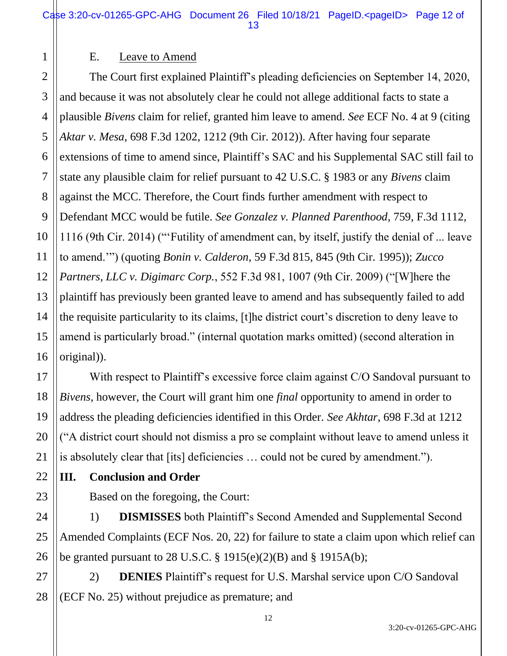### E. Leave to Amend

1

2

7

11

17

18

19

20

21

23

24

25

26

3 4 5 6 8 9 10 12 13 14 15 16 The Court first explained Plaintiff's pleading deficiencies on September 14, 2020, and because it was not absolutely clear he could not allege additional facts to state a plausible *Bivens* claim for relief, granted him leave to amend. *See* ECF No. 4 at 9 (citing *Aktar v. Mesa*, 698 F.3d 1202, 1212 (9th Cir. 2012)). After having four separate extensions of time to amend since, Plaintiff's SAC and his Supplemental SAC still fail to state any plausible claim for relief pursuant to 42 U.S.C. § 1983 or any *Bivens* claim against the MCC. Therefore, the Court finds further amendment with respect to Defendant MCC would be futile. *See Gonzalez v. Planned Parenthood*, 759, F.3d 1112, 1116 (9th Cir. 2014) ("'Futility of amendment can, by itself, justify the denial of ... leave to amend.'") (quoting *Bonin v. Calderon*, 59 F.3d 815, 845 (9th Cir. 1995)); *Zucco Partners, LLC v. Digimarc Corp.*, 552 F.3d 981, 1007 (9th Cir. 2009) ("[W]here the plaintiff has previously been granted leave to amend and has subsequently failed to add the requisite particularity to its claims, [t]he district court's discretion to deny leave to amend is particularly broad." (internal quotation marks omitted) (second alteration in original)).

With respect to Plaintiff's excessive force claim against C/O Sandoval pursuant to *Bivens*, however, the Court will grant him one *final* opportunity to amend in order to address the pleading deficiencies identified in this Order. *See Akhtar*, 698 F.3d at 1212 ("A district court should not dismiss a pro se complaint without leave to amend unless it is absolutely clear that [its] deficiencies … could not be cured by amendment.").

22 **III. Conclusion and Order**

Based on the foregoing, the Court:

1) **DISMISSES** both Plaintiff's Second Amended and Supplemental Second Amended Complaints (ECF Nos. 20, 22) for failure to state a claim upon which relief can be granted pursuant to 28 U.S.C.  $\S 1915(e)(2)(B)$  and  $\S 1915A(b)$ ;

27 28 2) **DENIES** Plaintiff's request for U.S. Marshal service upon C/O Sandoval (ECF No. 25) without prejudice as premature; and